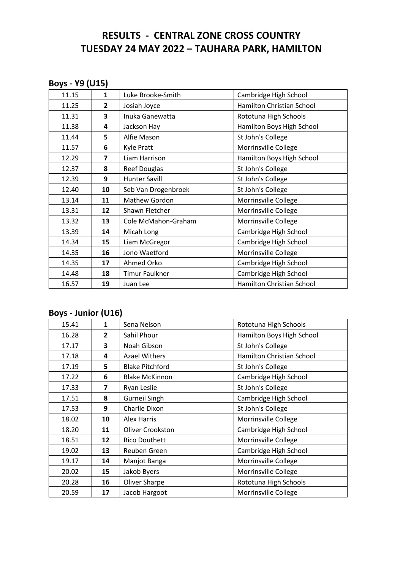# **RESULTS - CENTRAL ZONE CROSS COUNTRY TUESDAY 24 MAY 2022 – TAUHARA PARK, HAMILTON**

## **Boys - Y9 (U15)**

| 11.15 | $\mathbf{1}$   | Luke Brooke-Smith     | Cambridge High School     |
|-------|----------------|-----------------------|---------------------------|
| 11.25 | $\overline{2}$ | Josiah Joyce          | Hamilton Christian School |
| 11.31 | 3              | Inuka Ganewatta       | Rototuna High Schools     |
| 11.38 | 4              | Jackson Hay           | Hamilton Boys High School |
| 11.44 | 5              | Alfie Mason           | St John's College         |
| 11.57 | 6              | <b>Kyle Pratt</b>     | Morrinsville College      |
| 12.29 | 7              | Liam Harrison         | Hamilton Boys High School |
| 12.37 | 8              | <b>Reef Douglas</b>   | St John's College         |
| 12.39 | 9              | <b>Hunter Savill</b>  | St John's College         |
| 12.40 | 10             | Seb Van Drogenbroek   | St John's College         |
| 13.14 | 11             | Mathew Gordon         | Morrinsville College      |
| 13.31 | 12             | Shawn Fletcher        | Morrinsville College      |
| 13.32 | 13             | Cole McMahon-Graham   | Morrinsville College      |
| 13.39 | 14             | Micah Long            | Cambridge High School     |
| 14.34 | 15             | Liam McGregor         | Cambridge High School     |
| 14.35 | 16             | Jono Waetford         | Morrinsville College      |
| 14.35 | 17             | Ahmed Orko            | Cambridge High School     |
| 14.48 | 18             | <b>Timur Faulkner</b> | Cambridge High School     |
| 16.57 | 19             | Juan Lee              | Hamilton Christian School |

# **Boys - Junior (U16)**

| 15.41 | 1              | Sena Nelson             | Rototuna High Schools     |
|-------|----------------|-------------------------|---------------------------|
| 16.28 | $\overline{2}$ | Sahil Phour             | Hamilton Boys High School |
| 17.17 | 3              | Noah Gibson             | St John's College         |
| 17.18 | 4              | <b>Azael Withers</b>    | Hamilton Christian School |
| 17.19 | 5              | <b>Blake Pitchford</b>  | St John's College         |
| 17.22 | 6              | <b>Blake McKinnon</b>   | Cambridge High School     |
| 17.33 | 7              | Ryan Leslie             | St John's College         |
| 17.51 | 8              | <b>Gurneil Singh</b>    | Cambridge High School     |
| 17.53 | 9              | Charlie Dixon           | St John's College         |
| 18.02 | 10             | Alex Harris             | Morrinsville College      |
| 18.20 | 11             | <b>Oliver Crookston</b> | Cambridge High School     |
| 18.51 | 12             | Rico Douthett           | Morrinsville College      |
| 19.02 | 13             | Reuben Green            | Cambridge High School     |
| 19.17 | 14             | Manjot Banga            | Morrinsville College      |
| 20.02 | 15             | Jakob Byers             | Morrinsville College      |
| 20.28 | 16             | Oliver Sharpe           | Rototuna High Schools     |
| 20.59 | 17             | Jacob Hargoot           | Morrinsville College      |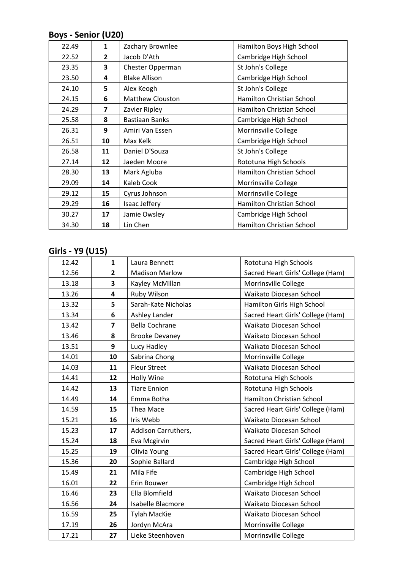## **Boys - Senior (U20)**

| 22.49 | $\mathbf{1}$            | Zachary Brownlee        | Hamilton Boys High School |
|-------|-------------------------|-------------------------|---------------------------|
| 22.52 | $\overline{2}$          | Jacob D'Ath             | Cambridge High School     |
| 23.35 | 3                       | Chester Opperman        | St John's College         |
| 23.50 | 4                       | <b>Blake Allison</b>    | Cambridge High School     |
| 24.10 | 5                       | Alex Keogh              | St John's College         |
| 24.15 | 6                       | <b>Matthew Clouston</b> | Hamilton Christian School |
| 24.29 | $\overline{\mathbf{z}}$ | Zavier Ripley           | Hamilton Christian School |
| 25.58 | 8                       | Bastiaan Banks          | Cambridge High School     |
| 26.31 | 9                       | Amiri Van Essen         | Morrinsville College      |
| 26.51 | 10                      | Max Kelk                | Cambridge High School     |
| 26.58 | 11                      | Daniel D'Souza          | St John's College         |
| 27.14 | 12                      | Jaeden Moore            | Rototuna High Schools     |
| 28.30 | 13                      | Mark Agluba             | Hamilton Christian School |
| 29.09 | 14                      | Kaleb Cook              | Morrinsville College      |
| 29.12 | 15                      | Cyrus Johnson           | Morrinsville College      |
| 29.29 | 16                      | Isaac Jeffery           | Hamilton Christian School |
| 30.27 | 17                      | Jamie Owsley            | Cambridge High School     |
| 34.30 | 18                      | Lin Chen                | Hamilton Christian School |

## **Girls - Y9 (U15)**

| 12.42 | 1              | Laura Bennett            | Rototuna High Schools             |
|-------|----------------|--------------------------|-----------------------------------|
| 12.56 | $\overline{2}$ | <b>Madison Marlow</b>    | Sacred Heart Girls' College (Ham) |
| 13.18 | 3              | Kayley McMillan          | Morrinsville College              |
| 13.26 | 4              | Ruby Wilson              | Waikato Diocesan School           |
| 13.32 | 5              | Sarah-Kate Nicholas      | Hamilton Girls High School        |
| 13.34 | 6              | Ashley Lander            | Sacred Heart Girls' College (Ham) |
| 13.42 | $\overline{7}$ | <b>Bella Cochrane</b>    | Waikato Diocesan School           |
| 13.46 | 8              | <b>Brooke Devaney</b>    | Waikato Diocesan School           |
| 13.51 | 9              | Lucy Hadley              | Waikato Diocesan School           |
| 14.01 | 10             | Sabrina Chong            | Morrinsville College              |
| 14.03 | 11             | <b>Fleur Street</b>      | Waikato Diocesan School           |
| 14.41 | 12             | Holly Wine               | Rototuna High Schools             |
| 14.42 | 13             | <b>Tiare Ennion</b>      | Rototuna High Schools             |
| 14.49 | 14             | Emma Botha               | Hamilton Christian School         |
| 14.59 | 15             | Thea Mace                | Sacred Heart Girls' College (Ham) |
| 15.21 | 16             | Iris Webb                | Waikato Diocesan School           |
| 15.23 | 17             | Addison Carruthers,      | Waikato Diocesan School           |
| 15.24 | 18             | Eva Mcgirvin             | Sacred Heart Girls' College (Ham) |
| 15.25 | 19             | Olivia Young             | Sacred Heart Girls' College (Ham) |
| 15.36 | 20             | Sophie Ballard           | Cambridge High School             |
| 15.49 | 21             | Mila Fife                | Cambridge High School             |
| 16.01 | 22             | Erin Bouwer              | Cambridge High School             |
| 16.46 | 23             | Ella Blomfield           | Waikato Diocesan School           |
| 16.56 | 24             | <b>Isabelle Blacmore</b> | Waikato Diocesan School           |
| 16.59 | 25             | <b>Tylah MacKie</b>      | Waikato Diocesan School           |
| 17.19 | 26             | Jordyn McAra             | Morrinsville College              |
| 17.21 | 27             | Lieke Steenhoven         | Morrinsville College              |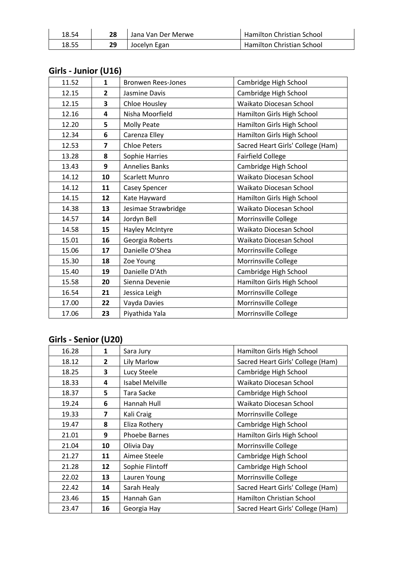| 18.54 | 28 | Jana Van Der Merwe | Hamilton Christian School |
|-------|----|--------------------|---------------------------|
| 18.55 |    | Jocelyn Egan       | Hamilton Christian School |

| 11.52 | $\mathbf{1}$   | <b>Bronwen Rees-Jones</b> | Cambridge High School             |
|-------|----------------|---------------------------|-----------------------------------|
| 12.15 | $\overline{2}$ | Jasmine Davis             | Cambridge High School             |
| 12.15 | 3              | Chloe Housley             | Waikato Diocesan School           |
| 12.16 | 4              | Nisha Moorfield           | Hamilton Girls High School        |
| 12.20 | 5              | <b>Molly Peate</b>        | Hamilton Girls High School        |
| 12.34 | 6              | Carenza Elley             | Hamilton Girls High School        |
| 12.53 | $\overline{7}$ | <b>Chloe Peters</b>       | Sacred Heart Girls' College (Ham) |
| 13.28 | 8              | Sophie Harries            | <b>Fairfield College</b>          |
| 13.43 | 9              | <b>Annelies Banks</b>     | Cambridge High School             |
| 14.12 | 10             | Scarlett Munro            | Waikato Diocesan School           |
| 14.12 | 11             | Casey Spencer             | Waikato Diocesan School           |
| 14.15 | 12             | Kate Hayward              | Hamilton Girls High School        |
| 14.38 | 13             | Jesimae Strawbridge       | Waikato Diocesan School           |
| 14.57 | 14             | Jordyn Bell               | Morrinsville College              |
| 14.58 | 15             | Hayley McIntyre           | Waikato Diocesan School           |
| 15.01 | 16             | Georgia Roberts           | Waikato Diocesan School           |
| 15.06 | 17             | Danielle O'Shea           | Morrinsville College              |
| 15.30 | 18             | Zoe Young                 | Morrinsville College              |
| 15.40 | 19             | Danielle D'Ath            | Cambridge High School             |
| 15.58 | 20             | Sienna Devenie            | Hamilton Girls High School        |
| 16.54 | 21             | Jessica Leigh             | Morrinsville College              |
| 17.00 | 22             | Vayda Davies              | Morrinsville College              |
| 17.06 | 23             | Piyathida Yala            | Morrinsville College              |

## **Girls - Junior (U16)**

# **Girls - Senior (U20)**

| 16.28 | 1              | Sara Jury              | Hamilton Girls High School        |
|-------|----------------|------------------------|-----------------------------------|
| 18.12 | $\overline{2}$ | Lily Marlow            | Sacred Heart Girls' College (Ham) |
| 18.25 | 3              | Lucy Steele            | Cambridge High School             |
| 18.33 | 4              | <b>Isabel Melville</b> | Waikato Diocesan School           |
| 18.37 | 5              | Tara Sacke             | Cambridge High School             |
| 19.24 | 6              | Hannah Hull            | Waikato Diocesan School           |
| 19.33 | 7              | Kali Craig             | Morrinsville College              |
| 19.47 | 8              | Eliza Rothery          | Cambridge High School             |
| 21.01 | 9              | <b>Phoebe Barnes</b>   | Hamilton Girls High School        |
| 21.04 | 10             | Olivia Day             | Morrinsville College              |
| 21.27 | 11             | Aimee Steele           | Cambridge High School             |
| 21.28 | 12             | Sophie Flintoff        | Cambridge High School             |
| 22.02 | 13             | Lauren Young           | Morrinsville College              |
| 22.42 | 14             | Sarah Healy            | Sacred Heart Girls' College (Ham) |
| 23.46 | 15             | Hannah Gan             | Hamilton Christian School         |
| 23.47 | 16             | Georgia Hay            | Sacred Heart Girls' College (Ham) |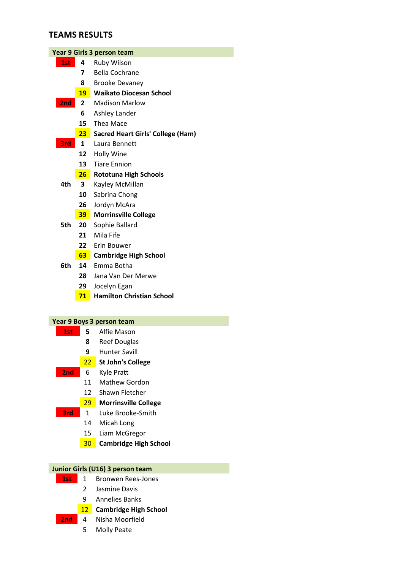### **TEAMS RESULTS**

| Year 9 Girls 3 person team |                 |                                          |  |
|----------------------------|-----------------|------------------------------------------|--|
| 1st                        | 4               | Ruby Wilson                              |  |
|                            | 7               | <b>Bella Cochrane</b>                    |  |
|                            | 8               | <b>Brooke Devaney</b>                    |  |
|                            | 19              | <b>Waikato Diocesan School</b>           |  |
| 2nd                        | $\overline{2}$  | <b>Madison Marlow</b>                    |  |
|                            | 6               | Ashley Lander                            |  |
|                            | 15              | Thea Mace                                |  |
|                            | 23              | <b>Sacred Heart Girls' College (Ham)</b> |  |
| 3rd                        | $\mathbf{1}$    | Laura Bennett                            |  |
|                            | 12              | Holly Wine                               |  |
|                            | 13              | <b>Tiare Ennion</b>                      |  |
|                            | 26 <sub>2</sub> | <b>Rototuna High Schools</b>             |  |
| 4th                        | 3               | Kayley McMillan                          |  |
|                            | 10              | Sabrina Chong                            |  |
|                            | 26              | Jordyn McAra                             |  |
|                            | 39 <sub>1</sub> | <b>Morrinsville College</b>              |  |
| 5th                        | 20              | Sophie Ballard                           |  |
|                            | 21              | Mila Fife                                |  |
|                            | 22              | Erin Bouwer                              |  |
|                            | 63              | <b>Cambridge High School</b>             |  |
| 6th                        | 14              | Emma Botha                               |  |
|                            | 28              | Jana Van Der Merwe                       |  |
|                            | 29              | Jocelyn Egan                             |  |
|                            | 71              | <b>Hamilton Christian School</b>         |  |
|                            |                 |                                          |  |
|                            |                 |                                          |  |

#### **Year 9 Boys 3 person team**

- **1st 5** Alfie Mason
	- Reef Douglas
	- Hunter Savill
	- **St John's College**
- **2nd** 6 Kyle Pratt
	- Mathew Gordon
	- Shawn Fletcher
	- **Morrinsville College**
- **3rd** 1 Luke Brooke-Smith
	- Micah Long
	- Liam McGregor
	- **Cambridge High School**

### **Junior Girls (U16) 3 person team**

- 1st 1 Bronwen Rees-Jones
	- Jasmine Davis
	- Annelies Banks
	- **Cambridge High School**
- **2nd** 4 Nisha Moorfield
	- Molly Peate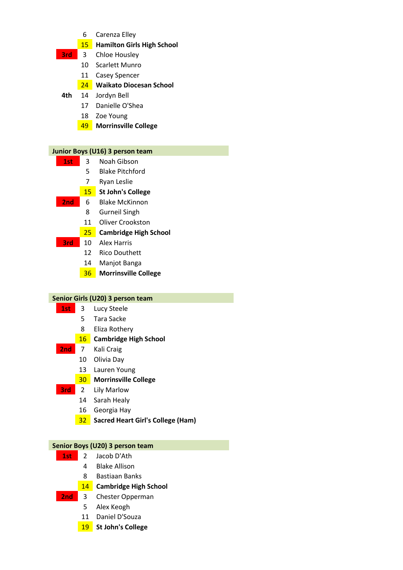- Carenza Elley
- **Hamilton Girls High School**
- **3rd** 3 Chloe Housley
	- Scarlett Munro
	- Casey Spencer

### **Waikato Diocesan School**

- **4th** 14 Jordyn Bell
	- Danielle O'Shea
	- Zoe Young
	- **Morrinsville College**

### **Junior Boys (U16) 3 person team**

- **1st** 3 Noah Gibson
	- Blake Pitchford
	- Ryan Leslie

### **St John's College**

- **2nd** 6 Blake McKinnon
	- Gurneil Singh
	- Oliver Crookston
	- **Cambridge High School**
- **3rd** 10 Alex Harris
	- Rico Douthett
	- Manjot Banga
	- **Morrinsville College**

### **Senior Girls (U20) 3 person team**

- **1st** 3 Lucy Steele
	- Tara Sacke
	- Eliza Rothery

### **Cambridge High School**

- **2nd** 7 Kali Craig
	- Olivia Day
	- Lauren Young

### **Morrinsville College**

- **3rd** 2 Lily Marlow
	- Sarah Healy
	- Georgia Hay
	- **Sacred Heart Girl's College (Ham)**

#### **Senior Boys (U20) 3 person team**

- **1st** 2 Jacob D'Ath
	- Blake Allison
	- Bastiaan Banks
	- **Cambridge High School**
- **2nd** 3 Chester Opperman
	- Alex Keogh
	- Daniel D'Souza
	- **St John's College**